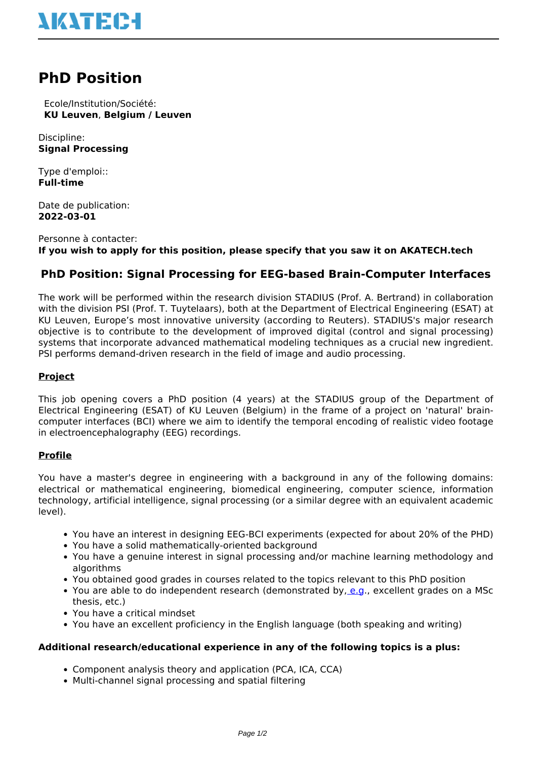

# **PhD Position**

 Ecole/Institution/Société: **KU Leuven**, **Belgium / Leuven**

Discipline: **Signal Processing**

Type d'emploi:: **Full-time**

Date de publication: **2022-03-01**

Personne à contacter: **If you wish to apply for this position, please specify that you saw it on AKATECH.tech**

# **PhD Position: Signal Processing for EEG-based Brain-Computer Interfaces**

The work will be performed within the research division STADIUS (Prof. A. Bertrand) in collaboration with the division PSI (Prof. T. Tuytelaars), both at the Department of Electrical Engineering (ESAT) at KU Leuven, Europe's most innovative university (according to Reuters). STADIUS's major research objective is to contribute to the development of improved digital (control and signal processing) systems that incorporate advanced mathematical modeling techniques as a crucial new ingredient. PSI performs demand-driven research in the field of image and audio processing.

# **Project**

This job opening covers a PhD position (4 years) at the STADIUS group of the Department of Electrical Engineering (ESAT) of KU Leuven (Belgium) in the frame of a project on 'natural' braincomputer interfaces (BCI) where we aim to identify the temporal encoding of realistic video footage in electroencephalography (EEG) recordings.

## **Profile**

You have a master's degree in engineering with a background in any of the following domains: electrical or mathematical engineering, biomedical engineering, computer science, information technology, artificial intelligence, signal processing (or a similar degree with an equivalent academic level).

- You have an interest in designing EEG-BCI experiments (expected for about 20% of the PHD)
- You have a solid mathematically-oriented background
- You have a genuine interest in signal processing and/or machine learning methodology and algorithms
- You obtained good grades in courses related to the topics relevant to this PhD position
- You are able to do independent research (demonstrated by, [e.g.](e.g), excellent grades on a MSc thesis, etc.)
- You have a critical mindset
- You have an excellent proficiency in the English language (both speaking and writing)

#### **Additional research/educational experience in any of the following topics is a plus:**

- Component analysis theory and application (PCA, ICA, CCA)
- Multi-channel signal processing and spatial filtering